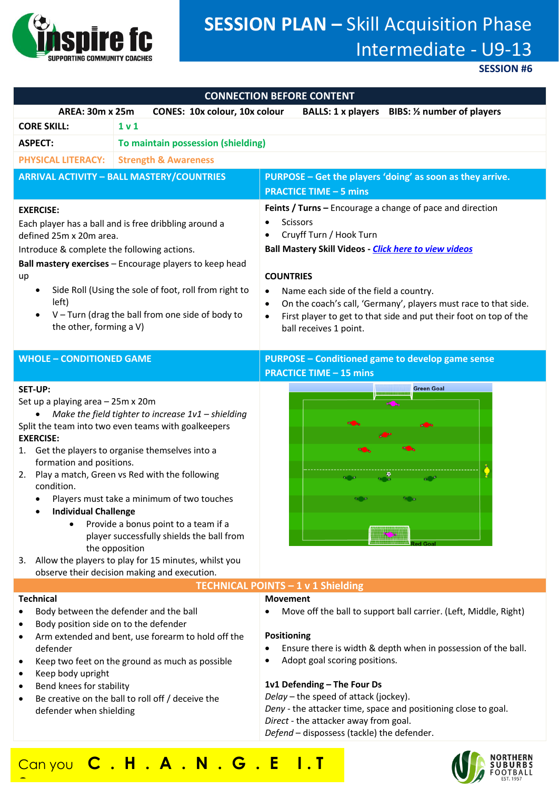

# **SESSION PLAN –** Skill Acquisition Phase Intermediate - U9-13

**SESSION #6**

| <b>CONNECTION BEFORE CONTENT</b>                                                                                                                                                                                                                                                                                                                                                                                                                                                                                                                                                                                                    |                                                                                                                                                                                                      |                                                                                                                                                                                                                                                                                                                                                                                                                                                |  |
|-------------------------------------------------------------------------------------------------------------------------------------------------------------------------------------------------------------------------------------------------------------------------------------------------------------------------------------------------------------------------------------------------------------------------------------------------------------------------------------------------------------------------------------------------------------------------------------------------------------------------------------|------------------------------------------------------------------------------------------------------------------------------------------------------------------------------------------------------|------------------------------------------------------------------------------------------------------------------------------------------------------------------------------------------------------------------------------------------------------------------------------------------------------------------------------------------------------------------------------------------------------------------------------------------------|--|
| <b>AREA: 30m x 25m</b><br>BALLS: 1 x players BIBS: 1/2 number of players<br><b>CONES: 10x colour, 10x colour</b>                                                                                                                                                                                                                                                                                                                                                                                                                                                                                                                    |                                                                                                                                                                                                      |                                                                                                                                                                                                                                                                                                                                                                                                                                                |  |
| <b>CORE SKILL:</b>                                                                                                                                                                                                                                                                                                                                                                                                                                                                                                                                                                                                                  | 1 <sub>v</sub> 1                                                                                                                                                                                     |                                                                                                                                                                                                                                                                                                                                                                                                                                                |  |
| <b>ASPECT:</b>                                                                                                                                                                                                                                                                                                                                                                                                                                                                                                                                                                                                                      | To maintain possession (shielding)                                                                                                                                                                   |                                                                                                                                                                                                                                                                                                                                                                                                                                                |  |
| <b>PHYSICAL LITERACY:</b>                                                                                                                                                                                                                                                                                                                                                                                                                                                                                                                                                                                                           | <b>Strength &amp; Awareness</b>                                                                                                                                                                      |                                                                                                                                                                                                                                                                                                                                                                                                                                                |  |
|                                                                                                                                                                                                                                                                                                                                                                                                                                                                                                                                                                                                                                     | <b>ARRIVAL ACTIVITY - BALL MASTERY/COUNTRIES</b>                                                                                                                                                     | PURPOSE - Get the players 'doing' as soon as they arrive.<br><b>PRACTICE TIME - 5 mins</b>                                                                                                                                                                                                                                                                                                                                                     |  |
| <b>EXERCISE:</b><br>Each player has a ball and is free dribbling around a<br>defined 25m x 20m area.<br>Introduce & complete the following actions.<br>Ball mastery exercises - Encourage players to keep head<br>up<br>Side Roll (Using the sole of foot, roll from right to<br>٠<br>left)<br>$V$ – Turn (drag the ball from one side of body to<br>٠<br>the other, forming a V)                                                                                                                                                                                                                                                   |                                                                                                                                                                                                      | Feints / Turns - Encourage a change of pace and direction<br><b>Scissors</b><br>Cruyff Turn / Hook Turn<br><b>Ball Mastery Skill Videos - Click here to view videos</b><br><b>COUNTRIES</b><br>Name each side of the field a country.<br>$\bullet$<br>On the coach's call, 'Germany', players must race to that side.<br>$\bullet$<br>First player to get to that side and put their foot on top of the<br>$\bullet$<br>ball receives 1 point. |  |
| <b>WHOLE - CONDITIONED GAME</b>                                                                                                                                                                                                                                                                                                                                                                                                                                                                                                                                                                                                     |                                                                                                                                                                                                      | <b>PURPOSE - Conditioned game to develop game sense</b><br><b>PRACTICE TIME - 15 mins</b>                                                                                                                                                                                                                                                                                                                                                      |  |
| SET-UP:<br>Set up a playing area - 25m x 20m<br>Make the field tighter to increase $1v1$ – shielding<br>Split the team into two even teams with goalkeepers<br><b>EXERCISE:</b><br>1. Get the players to organise themselves into a<br>formation and positions.<br>2. Play a match, Green vs Red with the following<br>condition.<br>Players must take a minimum of two touches<br><b>Individual Challenge</b><br>Provide a bonus point to a team if a<br>player successfully shields the ball from<br>the opposition<br>Allow the players to play for 15 minutes, whilst you<br>3.<br>observe their decision making and execution. |                                                                                                                                                                                                      | <b>Green Goal</b>                                                                                                                                                                                                                                                                                                                                                                                                                              |  |
| TECHNICAL POINTS - 1 v 1 Shielding                                                                                                                                                                                                                                                                                                                                                                                                                                                                                                                                                                                                  |                                                                                                                                                                                                      |                                                                                                                                                                                                                                                                                                                                                                                                                                                |  |
| <b>Technical</b><br>Body position side on to the defender<br>defender<br>Keep body upright<br>Bend knees for stability<br>defender when shielding                                                                                                                                                                                                                                                                                                                                                                                                                                                                                   | Body between the defender and the ball<br>Arm extended and bent, use forearm to hold off the<br>Keep two feet on the ground as much as possible<br>Be creative on the ball to roll off / deceive the | <b>Movement</b><br>Move off the ball to support ball carrier. (Left, Middle, Right)<br><b>Positioning</b><br>Ensure there is width & depth when in possession of the ball.<br>Adopt goal scoring positions.<br>1v1 Defending - The Four Ds<br>Delay - the speed of attack (jockey).<br>Deny - the attacker time, space and positioning close to goal.<br>Direct - the attacker away from goal.<br>Defend - dispossess (tackle) the defender.   |  |

# Can you **C . H . A . N . G . E I . T**

**?**